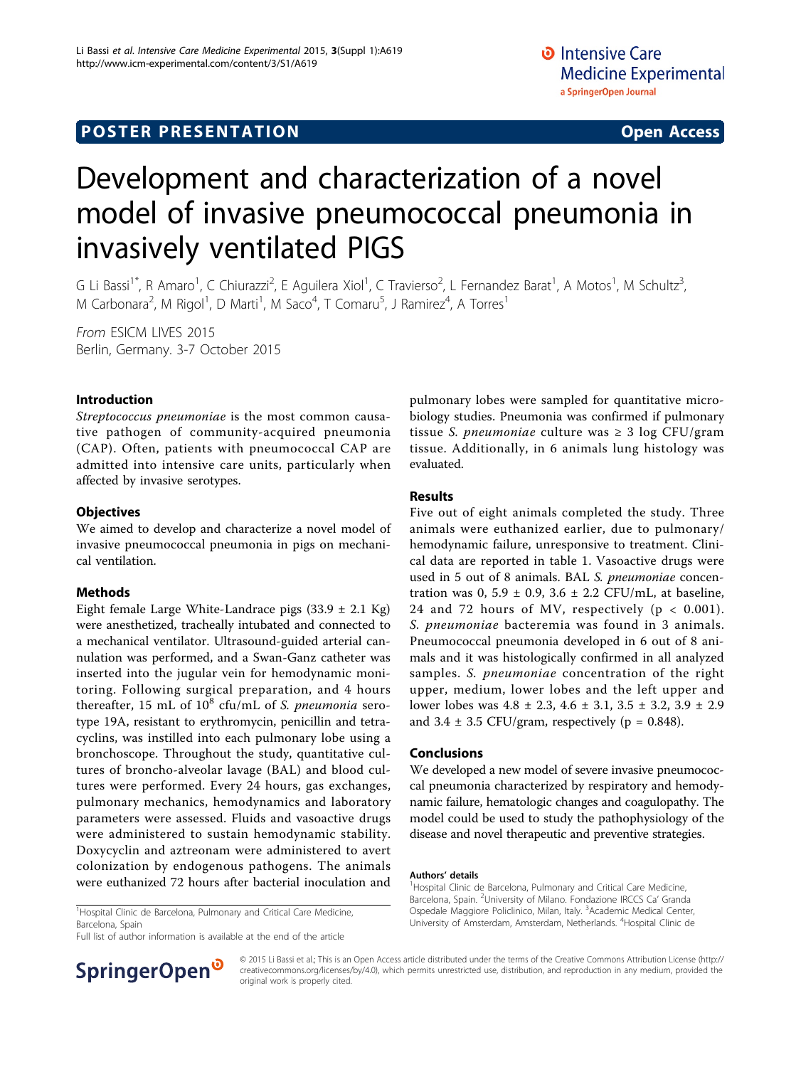# Development and characterization of a novel model of invasive pneumococcal pneumonia in invasively ventilated PIGS

G Li Bassi<sup>1\*</sup>, R Amaro<sup>1</sup>, C Chiurazzi<sup>2</sup>, E Aguilera Xiol<sup>1</sup>, C Travierso<sup>2</sup>, L Fernandez Barat<sup>1</sup>, A Motos<sup>1</sup>, M Schultz<sup>3</sup> , M Carbonara<sup>2</sup>, M Rigol<sup>1</sup>, D Marti<sup>1</sup>, M Saco<sup>4</sup>, T Comaru<sup>5</sup>, J Ramirez<sup>4</sup>, A Torres<sup>1</sup>

From ESICM LIVES 2015 Berlin, Germany. 3-7 October 2015

### Introduction

Streptococcus pneumoniae is the most common causative pathogen of community-acquired pneumonia (CAP). Often, patients with pneumococcal CAP are admitted into intensive care units, particularly when affected by invasive serotypes.

### **Objectives**

We aimed to develop and characterize a novel model of invasive pneumococcal pneumonia in pigs on mechanical ventilation.

## Methods

Eight female Large White-Landrace pigs  $(33.9 \pm 2.1 \text{ Kg})$ were anesthetized, tracheally intubated and connected to a mechanical ventilator. Ultrasound-guided arterial cannulation was performed, and a Swan-Ganz catheter was inserted into the jugular vein for hemodynamic monitoring. Following surgical preparation, and 4 hours thereafter, 15 mL of  $10^8$  cfu/mL of S. *pneumonia* serotype 19A, resistant to erythromycin, penicillin and tetracyclins, was instilled into each pulmonary lobe using a bronchoscope. Throughout the study, quantitative cultures of broncho-alveolar lavage (BAL) and blood cultures were performed. Every 24 hours, gas exchanges, pulmonary mechanics, hemodynamics and laboratory parameters were assessed. Fluids and vasoactive drugs were administered to sustain hemodynamic stability. Doxycyclin and aztreonam were administered to avert colonization by endogenous pathogens. The animals were euthanized 72 hours after bacterial inoculation and

<sup>1</sup>Hospital Clinic de Barcelona, Pulmonary and Critical Care Medicine, Barcelona, Spain

Full list of author information is available at the end of the article



pulmonary lobes were sampled for quantitative microbiology studies. Pneumonia was confirmed if pulmonary tissue *S. pneumoniae* culture was  $\geq 3 \log CFU/gram$ tissue. Additionally, in 6 animals lung histology was evaluated.

### Results

Five out of eight animals completed the study. Three animals were euthanized earlier, due to pulmonary/ hemodynamic failure, unresponsive to treatment. Clinical data are reported in table [1.](#page-1-0) Vasoactive drugs were used in 5 out of 8 animals. BAL S. pneumoniae concentration was  $0, 5.9 \pm 0.9, 3.6 \pm 2.2$  CFU/mL, at baseline, 24 and 72 hours of MV, respectively ( $p < 0.001$ ). S. pneumoniae bacteremia was found in 3 animals. Pneumococcal pneumonia developed in 6 out of 8 animals and it was histologically confirmed in all analyzed samples. S. *pneumoniae* concentration of the right upper, medium, lower lobes and the left upper and lower lobes was 4.8 ± 2.3, 4.6 ± 3.1, 3.5 ± 3.2, 3.9 ± 2.9 and  $3.4 \pm 3.5$  CFU/gram, respectively (p = 0.848).

#### Conclusions

We developed a new model of severe invasive pneumococcal pneumonia characterized by respiratory and hemodynamic failure, hematologic changes and coagulopathy. The model could be used to study the pathophysiology of the disease and novel therapeutic and preventive strategies.

#### Authors' details <sup>1</sup>

<sup>1</sup> Hospital Clinic de Barcelona, Pulmonary and Critical Care Medicine, Barcelona, Spain. <sup>2</sup>University of Milano. Fondazione IRCCS Ca' Granda Ospedale Maggiore Policlinico, Milan, Italy. <sup>3</sup>Academic Medical Center, University of Amsterdam, Amsterdam, Netherlands. <sup>4</sup> Hospital Clinic de

© 2015 Li Bassi et al.; This is an Open Access article distributed under the terms of the Creative Commons Attribution License [\(http://](http://creativecommons.org/licenses/by/4.0) [creativecommons.org/licenses/by/4.0](http://creativecommons.org/licenses/by/4.0)), which permits unrestricted use, distribution, and reproduction in any medium, provided the original work is properly cited.